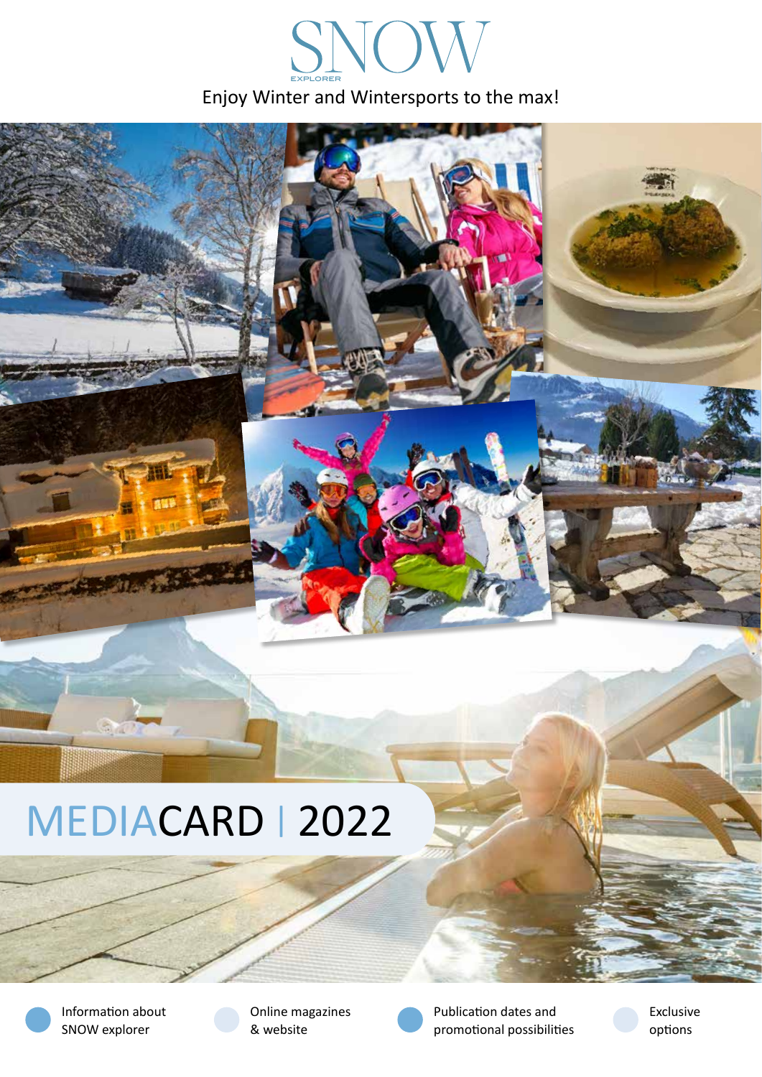# Enjoy Winter and Wintersports to the max! SNOV



# MEDIACARD | 2022



Information about SNOW explorer





Publication dates and promotional possibilities Exclusive options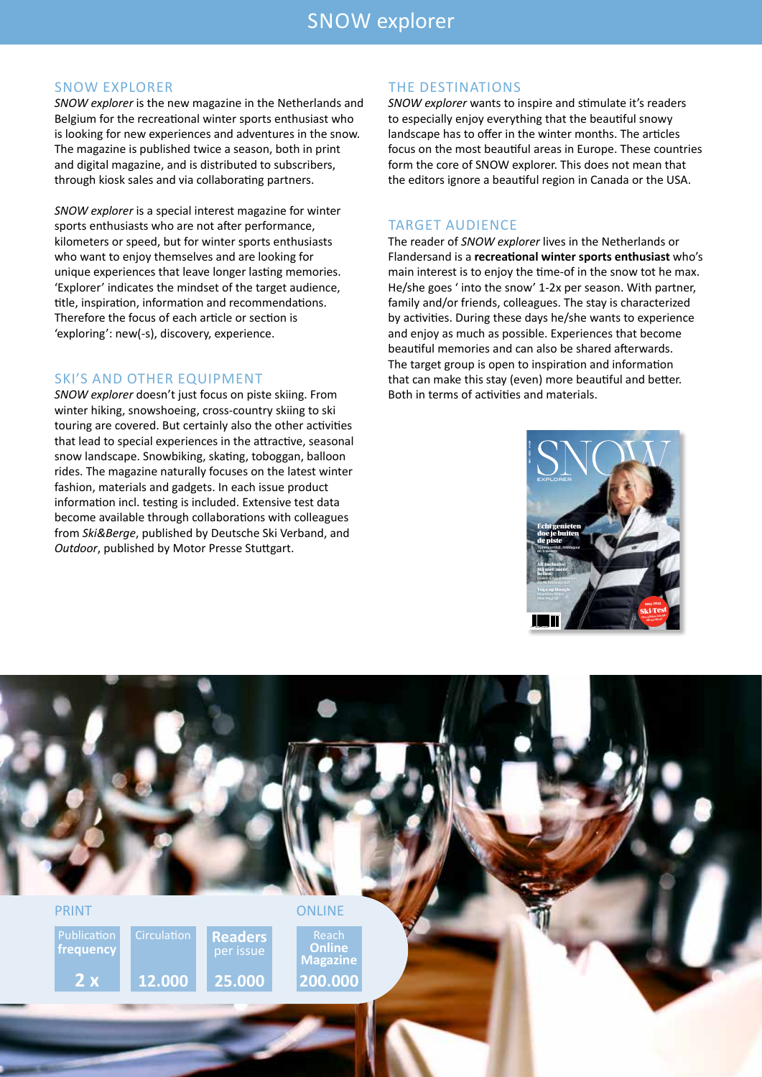# SNOW explorer

#### SNOW EXPLORER

*SNOW explorer* is the new magazine in the Netherlands and Belgium for the recreational winter sports enthusiast who is looking for new experiences and adventures in the snow. The magazine is published twice a season, both in print and digital magazine, and is distributed to subscribers, through kiosk sales and via collaborating partners.

*SNOW explorer* is a special interest magazine for winter sports enthusiasts who are not after performance, kilometers or speed, but for winter sports enthusiasts who want to enjoy themselves and are looking for unique experiences that leave longer lasting memories. 'Explorer' indicates the mindset of the target audience, title, inspiration, information and recommendations. Therefore the focus of each article or section is 'exploring': new(-s), discovery, experience.

#### SKI'S AND OTHER EQUIPMENT

*SNOW explorer* doesn't just focus on piste skiing. From winter hiking, snowshoeing, cross-country skiing to ski touring are covered. But certainly also the other activities that lead to special experiences in the attractive, seasonal snow landscape. Snowbiking, skating, toboggan, balloon rides. The magazine naturally focuses on the latest winter fashion, materials and gadgets. In each issue product information incl. testing is included. Extensive test data become available through collaborations with colleagues from *Ski&Berge*, published by Deutsche Ski Verband, and *Outdoor*, published by Motor Presse Stuttgart.

#### THE DESTINATIONS

*SNOW explorer* wants to inspire and stimulate it's readers to especially enjoy everything that the beautiful snowy landscape has to offer in the winter months. The articles focus on the most beautiful areas in Europe. These countries form the core of SNOW explorer. This does not mean that the editors ignore a beautiful region in Canada or the USA.

#### TARGET AUDIENCE

The reader of *SNOW explorer* lives in the Netherlands or Flandersand is a **recreational winter sports enthusiast** who's main interest is to enjoy the time-of in the snow tot he max. He/she goes ' into the snow' 1-2x per season. With partner, family and/or friends, colleagues. The stay is characterized by activities. During these days he/she wants to experience and enjoy as much as possible. Experiences that become beautiful memories and can also be shared afterwards. The target group is open to inspiration and information that can make this stay (even) more beautiful and better. Both in terms of activities and materials.



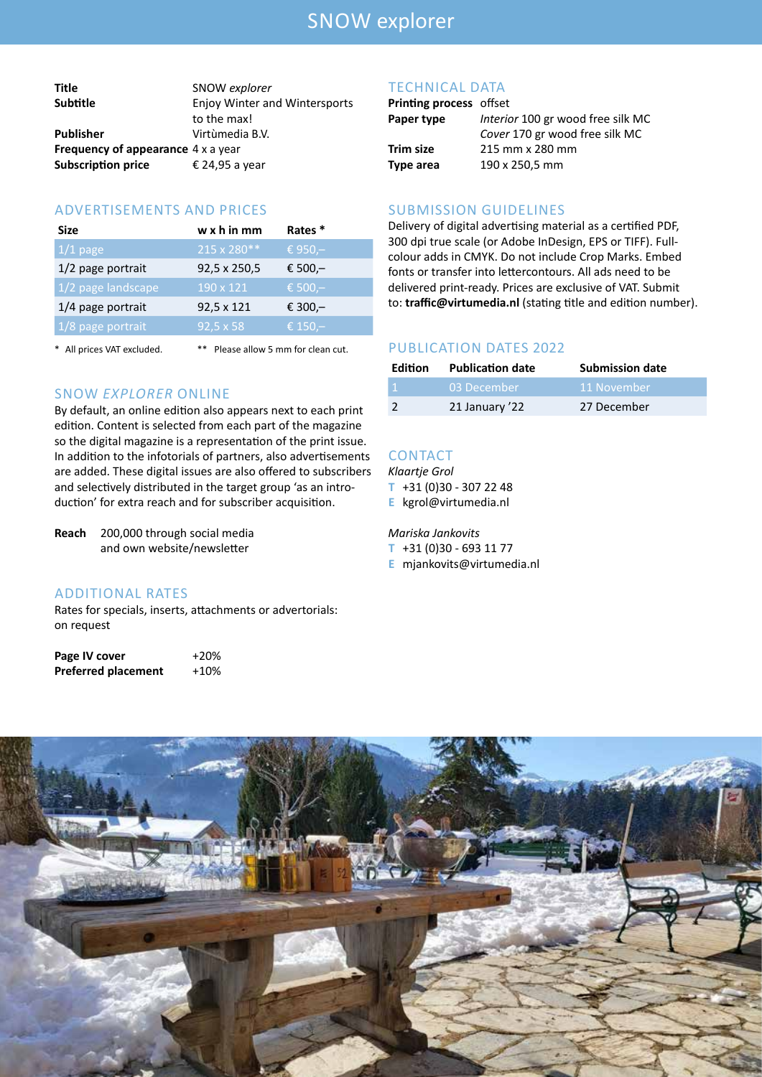# SNOW explorer

| Title                                     | SNOW explorer                        |
|-------------------------------------------|--------------------------------------|
| <b>Subtitle</b>                           | <b>Enjoy Winter and Wintersports</b> |
|                                           | to the max!                          |
| <b>Publisher</b>                          | Virtùmedia B.V.                      |
| <b>Frequency of appearance</b> 4 x a year |                                      |
| <b>Subscription price</b>                 | € 24,95 a year                       |

### ADVERTISEMENTS AND PRICES

| <b>Size</b>        | $w \times h$ in mm | Rates *    |
|--------------------|--------------------|------------|
| $1/1$ page         | 215 x 280**        | € 950,-    |
| 1/2 page portrait  | 92,5 x 250,5       | € 500,-    |
| 1/2 page landscape | 190 x 121          | € 500, $-$ |
| 1/4 page portrait  | 92,5 x 121         | € 300,-    |
| 1/8 page portrait  | $92,5 \times 58$   | € 150,-    |
|                    |                    |            |

\* All prices VAT excluded. \*\* Please allow 5 mm for clean cut.

#### SNOW *EXPLORER* ONLINE

By default, an online edition also appears next to each print edition. Content is selected from each part of the magazine so the digital magazine is a representation of the print issue. In addition to the infotorials of partners, also advertisements are added. These digital issues are also offered to subscribers and selectively distributed in the target group 'as an introduction' for extra reach and for subscriber acquisition.

**Reach** 200,000 through social media and own website/newsletter

## ADDITIONAL RATES

Rates for specials, inserts, attachments or advertorials: on request

| Page IV cover              | $+20%$ |
|----------------------------|--------|
| <b>Preferred placement</b> | $+10%$ |

#### TECHNICAL DATA

## **Printing process** offset

| Paper type       | Interior 100 gr wood free silk MC |
|------------------|-----------------------------------|
|                  | Cover 170 gr wood free silk MC    |
| <b>Trim size</b> | 215 mm x 280 mm                   |
| Type area        | 190 x 250,5 mm                    |

#### SUBMISSION GUIDELINES

Delivery of digital advertising material as a certified PDF, 300 dpi true scale (or Adobe InDesign, EPS or TIFF). Fullcolour adds in CMYK. Do not include Crop Marks. Embed fonts or transfer into lettercontours. All ads need to be delivered print-ready. Prices are exclusive of VAT. Submit to: **traffic@virtumedia.nl** (stating title and edition number).

#### PUBLICATION DATES 2022

| <b>Edition</b> | <b>Publication date</b> | <b>Submission date</b> |
|----------------|-------------------------|------------------------|
|                | 03 December             | 11 November            |
|                | 21 January '22          | 27 December            |

# **CONTACT**

*Klaartje Grol* **T** +31 (0)30 - 307 22 48

**E** kgrol@virtumedia.nl

#### *Mariska Jankovits*

**T** +31 (0)30 - 693 11 77

**E** mjankovits@virtumedia.nl